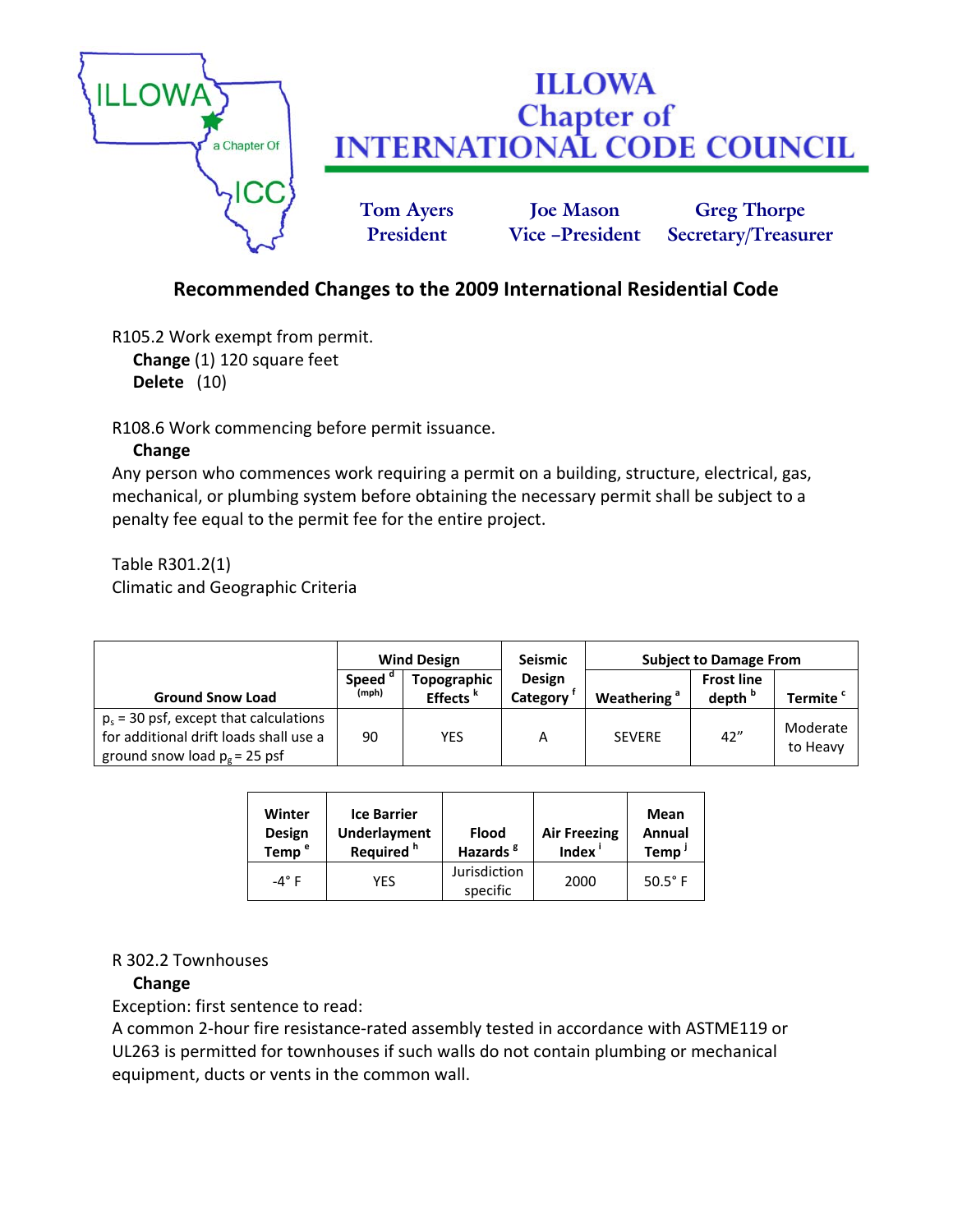

# **Recommended Changes to the 2009 International Residential Code**

R105.2 Work exempt from permit. **Change** (1) 120 square feet **Delete** (10)

R108.6 Work commencing before permit issuance.

## **Change**

Any person who commences work requiring a permit on a building, structure, electrical, gas, mechanical, or plumbing system before obtaining the necessary permit shall be subject to a penalty fee equal to the permit fee for the entire project.

Table R301.2(1) Climatic and Geographic Criteria

|                                                                                                                       | <b>Wind Design</b>    |                                     | <b>Seismic</b>            | <b>Subject to Damage From</b> |                                         |                      |
|-----------------------------------------------------------------------------------------------------------------------|-----------------------|-------------------------------------|---------------------------|-------------------------------|-----------------------------------------|----------------------|
| <b>Ground Snow Load</b>                                                                                               | <b>Speed</b><br>(mph) | Topographic<br>Effects <sup>k</sup> | <b>Design</b><br>Category | Weathering <sup>a</sup>       | <b>Frost line</b><br>depth <sup>b</sup> | Termite <sup>c</sup> |
| $p_s$ = 30 psf, except that calculations<br>for additional drift loads shall use a<br>ground snow load $p_e = 25$ psf | 90                    | YES                                 | А                         | <b>SEVERE</b>                 | 42"                                     | Moderate<br>to Heavy |

| Winter<br>Design<br>Temp <sup>e</sup> | <b>Ice Barrier</b><br><b>Underlayment</b><br>Required <sup>h</sup> | <b>Flood</b><br>Hazards <sup>8</sup> | <b>Air Freezing</b><br>Index <sup>i</sup> | Mean<br>Annual<br>Temp |
|---------------------------------------|--------------------------------------------------------------------|--------------------------------------|-------------------------------------------|------------------------|
| $-4^\circ$ F                          | YES                                                                | Jurisdiction<br>specific             | 2000                                      | $50.5^{\circ}$ F       |

#### R 302.2 Townhouses

# **Change**

Exception: first sentence to read:

A common 2‐hour fire resistance‐rated assembly tested in accordance with ASTME119 or UL263 is permitted for townhouses if such walls do not contain plumbing or mechanical equipment, ducts or vents in the common wall.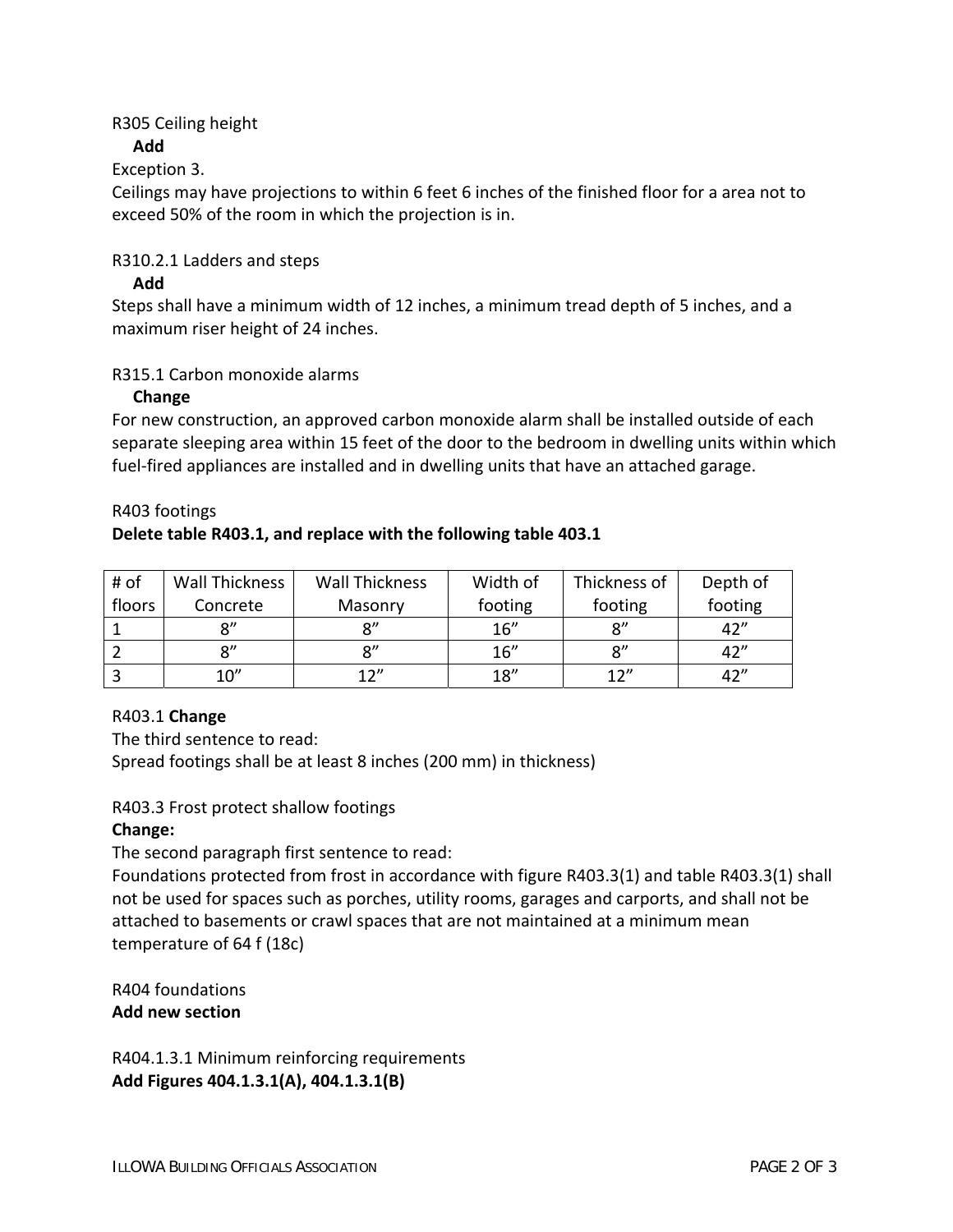## R305 Ceiling height

## **Add**

# Exception 3.

Ceilings may have projections to within 6 feet 6 inches of the finished floor for a area not to exceed 50% of the room in which the projection is in.

## R310.2.1 Ladders and steps

## **Add**

Steps shall have a minimum width of 12 inches, a minimum tread depth of 5 inches, and a maximum riser height of 24 inches.

## R315.1 Carbon monoxide alarms

## **Change**

For new construction, an approved carbon monoxide alarm shall be installed outside of each separate sleeping area within 15 feet of the door to the bedroom in dwelling units within which fuel-fired appliances are installed and in dwelling units that have an attached garage.

#### R403 footings

# **Delete table R403.1, and replace with the following table 403.1**

| # of   | Wall Thickness | <b>Wall Thickness</b> | Width of | Thickness of   | Depth of |
|--------|----------------|-----------------------|----------|----------------|----------|
| floors | Concrete       | Masonry               | footing  | footing        | footing  |
|        | $^{\circ}$     | ο"                    | 16''     | $\mathsf{R}''$ | 42''     |
|        | $\mathbf{Q}''$ | 8''                   | 16''     | $\mathsf{R}''$ | 42''     |
|        | 10''           | 12''                  | 18"      | 12"            | 42''     |

#### R403.1 **Change**

The third sentence to read: Spread footings shall be at least 8 inches (200 mm) in thickness)

# R403.3 Frost protect shallow footings

# **Change:**

The second paragraph first sentence to read:

Foundations protected from frost in accordance with figure R403.3(1) and table R403.3(1) shall not be used for spaces such as porches, utility rooms, garages and carports, and shall not be attached to basements or crawl spaces that are not maintained at a minimum mean temperature of 64 f (18c)

R404 foundations **Add new section**

R404.1.3.1 Minimum reinforcing requirements **Add Figures 404.1.3.1(A), 404.1.3.1(B)**